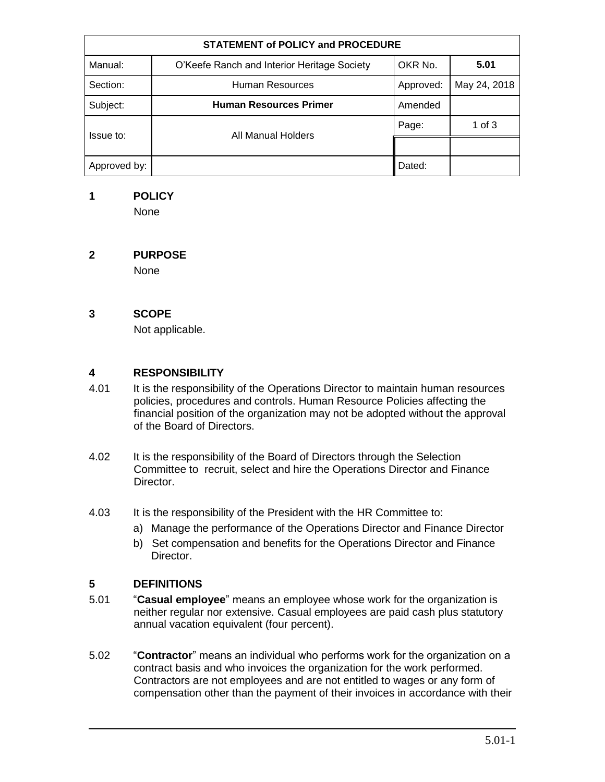| <b>STATEMENT of POLICY and PROCEDURE</b> |                                             |           |              |  |  |
|------------------------------------------|---------------------------------------------|-----------|--------------|--|--|
| Manual:                                  | O'Keefe Ranch and Interior Heritage Society | OKR No.   | 5.01         |  |  |
| Section:                                 | <b>Human Resources</b>                      | Approved: | May 24, 2018 |  |  |
| Subject:                                 | <b>Human Resources Primer</b>               | Amended   |              |  |  |
| Issue to:                                | All Manual Holders                          | Page:     | 1 of $3$     |  |  |
|                                          |                                             |           |              |  |  |
| Approved by:                             |                                             | Dated:    |              |  |  |

### **1 POLICY**

None

# **2 PURPOSE**

None

# **3 SCOPE**

Not applicable.

### **4 RESPONSIBILITY**

- 4.01 It is the responsibility of the Operations Director to maintain human resources policies, procedures and controls. Human Resource Policies affecting the financial position of the organization may not be adopted without the approval of the Board of Directors.
- 4.02 It is the responsibility of the Board of Directors through the Selection Committee to recruit, select and hire the Operations Director and Finance Director.
- 4.03 It is the responsibility of the President with the HR Committee to:
	- a) Manage the performance of the Operations Director and Finance Director
	- b) Set compensation and benefits for the Operations Director and Finance Director.

# **5 DEFINITIONS**

- 5.01 "**Casual employee**" means an employee whose work for the organization is neither regular nor extensive. Casual employees are paid cash plus statutory annual vacation equivalent (four percent).
- 5.02 "**Contractor**" means an individual who performs work for the organization on a contract basis and who invoices the organization for the work performed. Contractors are not employees and are not entitled to wages or any form of compensation other than the payment of their invoices in accordance with their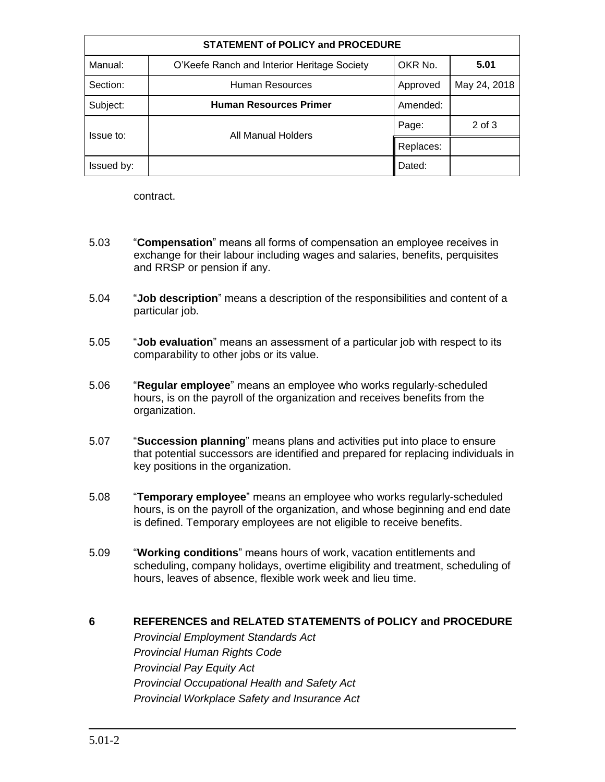| <b>STATEMENT of POLICY and PROCEDURE</b> |                                             |           |              |  |  |
|------------------------------------------|---------------------------------------------|-----------|--------------|--|--|
| Manual:                                  | O'Keefe Ranch and Interior Heritage Society | OKR No.   | 5.01         |  |  |
| Section:                                 | Human Resources                             | Approved  | May 24, 2018 |  |  |
| Subject:                                 | <b>Human Resources Primer</b>               | Amended:  |              |  |  |
| Issue to:                                | All Manual Holders                          | Page:     | $2$ of $3$   |  |  |
|                                          |                                             | Replaces: |              |  |  |
| Issued by:                               |                                             | Dated:    |              |  |  |

contract.

- 5.03 "**Compensation**" means all forms of compensation an employee receives in exchange for their labour including wages and salaries, benefits, perquisites and RRSP or pension if any.
- 5.04 "**Job description**" means a description of the responsibilities and content of a particular job.
- 5.05 "**Job evaluation**" means an assessment of a particular job with respect to its comparability to other jobs or its value.
- 5.06 "**Regular employee**" means an employee who works regularly-scheduled hours, is on the payroll of the organization and receives benefits from the organization.
- 5.07 "**Succession planning**" means plans and activities put into place to ensure that potential successors are identified and prepared for replacing individuals in key positions in the organization.
- 5.08 "**Temporary employee**" means an employee who works regularly-scheduled hours, is on the payroll of the organization, and whose beginning and end date is defined. Temporary employees are not eligible to receive benefits.
- 5.09 "**Working conditions**" means hours of work, vacation entitlements and scheduling, company holidays, overtime eligibility and treatment, scheduling of hours, leaves of absence, flexible work week and lieu time.

#### **6 REFERENCES and RELATED STATEMENTS of POLICY and PROCEDURE**

*Provincial Employment Standards Act Provincial Human Rights Code Provincial Pay Equity Act Provincial Occupational Health and Safety Act Provincial Workplace Safety and Insurance Act*